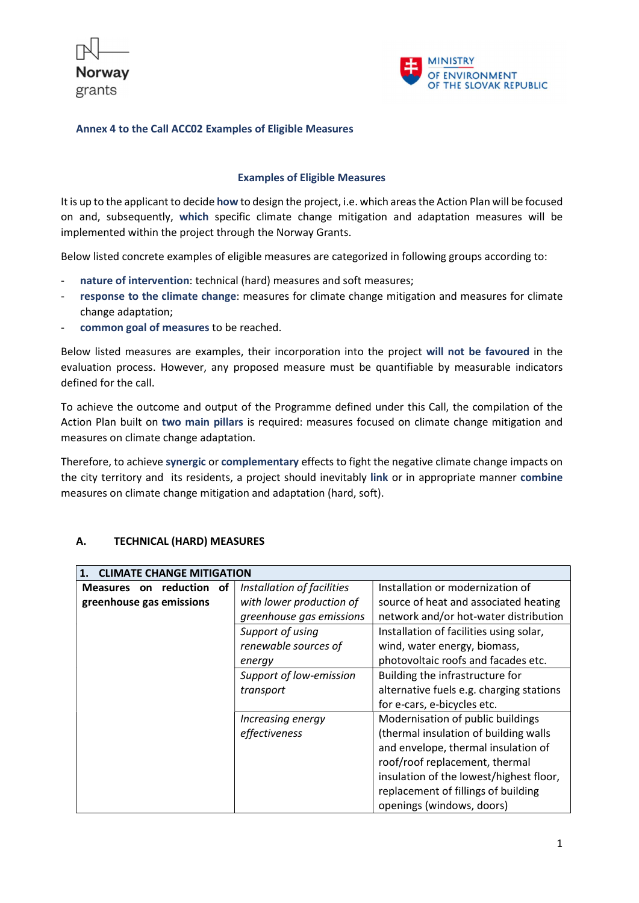



### Examples of Eligible Measures

It is up to the applicant to decide how to design the project, i.e. which areas the Action Plan will be focused on and, subsequently, which specific climate change mitigation and adaptation measures will be implemented within the project through the Norway Grants.

Below listed concrete examples of eligible measures are categorized in following groups according to:

- nature of intervention: technical (hard) measures and soft measures;
- response to the climate change: measures for climate change mitigation and measures for climate change adaptation;
- common goal of measures to be reached.

Below listed measures are examples, their incorporation into the project will not be favoured in the evaluation process. However, any proposed measure must be quantifiable by measurable indicators defined for the call.

To achieve the outcome and output of the Programme defined under this Call, the compilation of the Action Plan built on two main pillars is required: measures focused on climate change mitigation and measures on climate change adaptation.

Therefore, to achieve synergic or complementary effects to fight the negative climate change impacts on the city territory and its residents, a project should inevitably link or in appropriate manner combine measures on climate change mitigation and adaptation (hard, soft).

| А. | <b>TECHNICAL (HARD) MEASURES</b> |
|----|----------------------------------|
|    |                                  |

| 1. CLIMATE CHANGE MITIGATION |                            |                                          |
|------------------------------|----------------------------|------------------------------------------|
| Measures on reduction of     | Installation of facilities | Installation or modernization of         |
| greenhouse gas emissions     | with lower production of   | source of heat and associated heating    |
|                              | greenhouse gas emissions   | network and/or hot-water distribution    |
|                              | Support of using           | Installation of facilities using solar,  |
|                              | renewable sources of       | wind, water energy, biomass,             |
|                              | energy                     | photovoltaic roofs and facades etc.      |
|                              | Support of low-emission    | Building the infrastructure for          |
|                              | transport                  | alternative fuels e.g. charging stations |
|                              |                            | for e-cars, e-bicycles etc.              |
|                              | Increasing energy          | Modernisation of public buildings        |
|                              | effectiveness              | (thermal insulation of building walls    |
|                              |                            | and envelope, thermal insulation of      |
|                              |                            | roof/roof replacement, thermal           |
|                              |                            | insulation of the lowest/highest floor,  |
|                              |                            | replacement of fillings of building      |
|                              |                            | openings (windows, doors)                |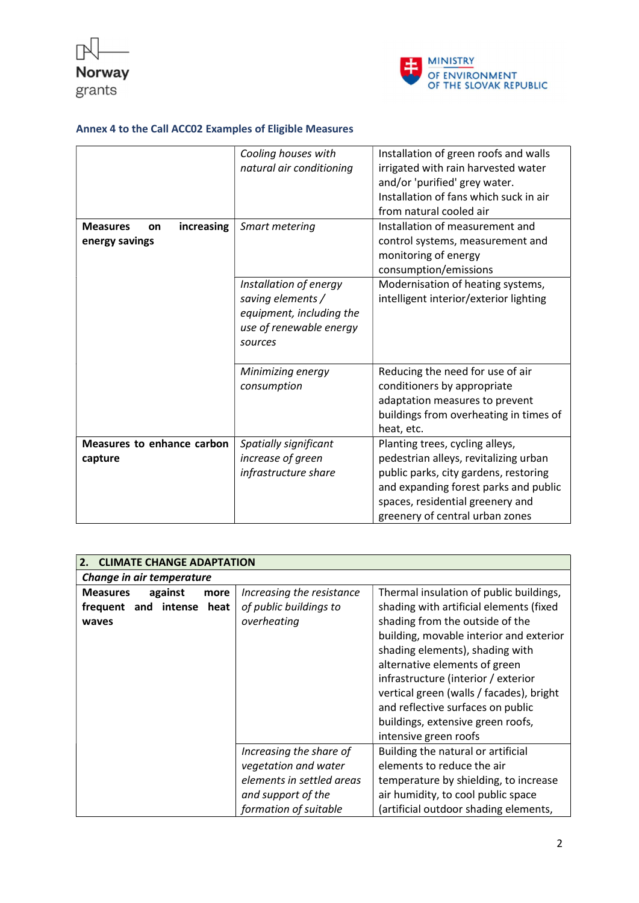



| increasing<br><b>Measures</b><br>on<br>energy savings | Cooling houses with<br>natural air conditioning<br>Smart metering<br>Installation of energy<br>saving elements /<br>equipment, including the<br>use of renewable energy<br>sources | Installation of green roofs and walls<br>irrigated with rain harvested water<br>and/or 'purified' grey water.<br>Installation of fans which suck in air<br>from natural cooled air<br>Installation of measurement and<br>control systems, measurement and<br>monitoring of energy<br>consumption/emissions<br>Modernisation of heating systems,<br>intelligent interior/exterior lighting |
|-------------------------------------------------------|------------------------------------------------------------------------------------------------------------------------------------------------------------------------------------|-------------------------------------------------------------------------------------------------------------------------------------------------------------------------------------------------------------------------------------------------------------------------------------------------------------------------------------------------------------------------------------------|
|                                                       | Minimizing energy<br>consumption                                                                                                                                                   | Reducing the need for use of air<br>conditioners by appropriate<br>adaptation measures to prevent<br>buildings from overheating in times of<br>heat, etc.                                                                                                                                                                                                                                 |
| Measures to enhance carbon<br>capture                 | Spatially significant<br>increase of green<br>infrastructure share                                                                                                                 | Planting trees, cycling alleys,<br>pedestrian alleys, revitalizing urban<br>public parks, city gardens, restoring<br>and expanding forest parks and public<br>spaces, residential greenery and<br>greenery of central urban zones                                                                                                                                                         |

| 2.<br><b>CLIMATE CHANGE ADAPTATION</b>                                   |                                                                                                                             |                                                                                                                                                                                                                                                                                                                                                                                                                            |  |
|--------------------------------------------------------------------------|-----------------------------------------------------------------------------------------------------------------------------|----------------------------------------------------------------------------------------------------------------------------------------------------------------------------------------------------------------------------------------------------------------------------------------------------------------------------------------------------------------------------------------------------------------------------|--|
| Change in air temperature                                                |                                                                                                                             |                                                                                                                                                                                                                                                                                                                                                                                                                            |  |
| <b>Measures</b><br>against<br>more<br>frequent and intense heat<br>waves | Increasing the resistance<br>of public buildings to<br>overheating                                                          | Thermal insulation of public buildings,<br>shading with artificial elements (fixed<br>shading from the outside of the<br>building, movable interior and exterior<br>shading elements), shading with<br>alternative elements of green<br>infrastructure (interior / exterior<br>vertical green (walls / facades), bright<br>and reflective surfaces on public<br>buildings, extensive green roofs,<br>intensive green roofs |  |
|                                                                          | Increasing the share of<br>vegetation and water<br>elements in settled areas<br>and support of the<br>formation of suitable | Building the natural or artificial<br>elements to reduce the air<br>temperature by shielding, to increase<br>air humidity, to cool public space<br>(artificial outdoor shading elements,                                                                                                                                                                                                                                   |  |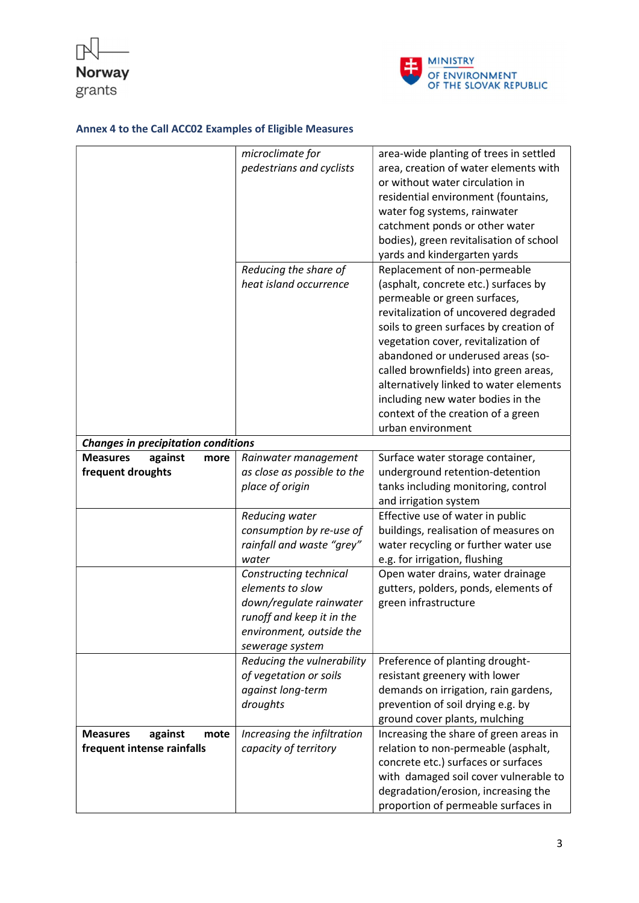



|                                            | microclimate for            | area-wide planting of trees in settled  |
|--------------------------------------------|-----------------------------|-----------------------------------------|
|                                            | pedestrians and cyclists    | area, creation of water elements with   |
|                                            |                             | or without water circulation in         |
|                                            |                             | residential environment (fountains,     |
|                                            |                             | water fog systems, rainwater            |
|                                            |                             | catchment ponds or other water          |
|                                            |                             | bodies), green revitalisation of school |
|                                            |                             |                                         |
|                                            |                             | yards and kindergarten yards            |
|                                            | Reducing the share of       | Replacement of non-permeable            |
|                                            | heat island occurrence      | (asphalt, concrete etc.) surfaces by    |
|                                            |                             | permeable or green surfaces,            |
|                                            |                             | revitalization of uncovered degraded    |
|                                            |                             | soils to green surfaces by creation of  |
|                                            |                             | vegetation cover, revitalization of     |
|                                            |                             | abandoned or underused areas (so-       |
|                                            |                             | called brownfields) into green areas,   |
|                                            |                             | alternatively linked to water elements  |
|                                            |                             | including new water bodies in the       |
|                                            |                             | context of the creation of a green      |
|                                            |                             | urban environment                       |
| <b>Changes in precipitation conditions</b> |                             |                                         |
| <b>Measures</b><br>against<br>more         | Rainwater management        | Surface water storage container,        |
| frequent droughts                          | as close as possible to the | underground retention-detention         |
|                                            | place of origin             | tanks including monitoring, control     |
|                                            |                             | and irrigation system                   |
|                                            | Reducing water              | Effective use of water in public        |
|                                            | consumption by re-use of    | buildings, realisation of measures on   |
|                                            | rainfall and waste "grey"   | water recycling or further water use    |
|                                            | water                       | e.g. for irrigation, flushing           |
|                                            | Constructing technical      | Open water drains, water drainage       |
|                                            | elements to slow            | gutters, polders, ponds, elements of    |
|                                            |                             |                                         |
|                                            | down/regulate rainwater     | green infrastructure                    |
|                                            | runoff and keep it in the   |                                         |
|                                            | environment, outside the    |                                         |
|                                            | sewerage system             |                                         |
|                                            | Reducing the vulnerability  | Preference of planting drought-         |
|                                            | of vegetation or soils      | resistant greenery with lower           |
|                                            | against long-term           | demands on irrigation, rain gardens,    |
|                                            | droughts                    | prevention of soil drying e.g. by       |
|                                            |                             | ground cover plants, mulching           |
| <b>Measures</b><br>against<br>mote         | Increasing the infiltration | Increasing the share of green areas in  |
| frequent intense rainfalls                 | capacity of territory       | relation to non-permeable (asphalt,     |
|                                            |                             | concrete etc.) surfaces or surfaces     |
|                                            |                             | with damaged soil cover vulnerable to   |
|                                            |                             | degradation/erosion, increasing the     |
|                                            |                             | proportion of permeable surfaces in     |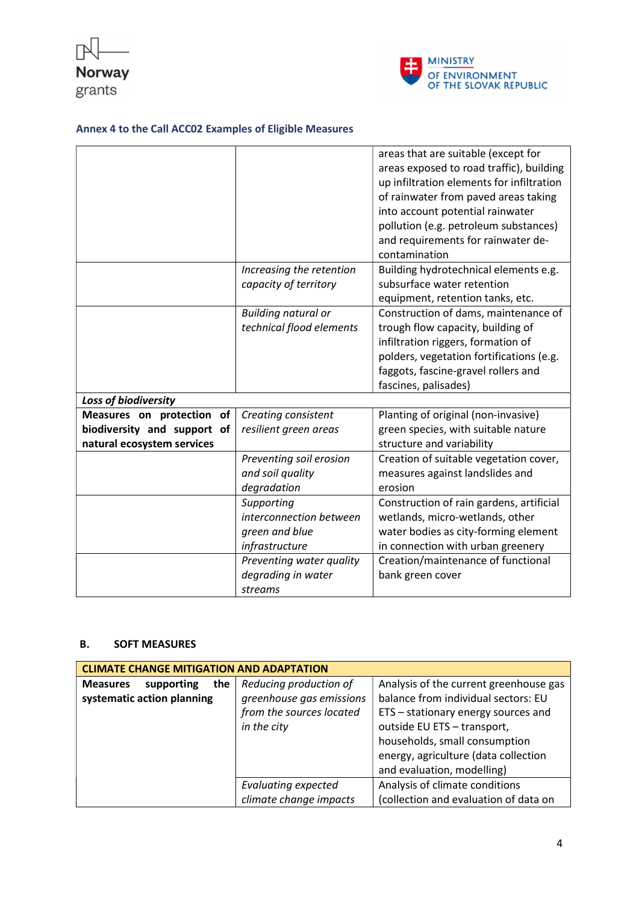



|                             |                            | areas that are suitable (except for       |
|-----------------------------|----------------------------|-------------------------------------------|
|                             |                            | areas exposed to road traffic), building  |
|                             |                            | up infiltration elements for infiltration |
|                             |                            | of rainwater from paved areas taking      |
|                             |                            | into account potential rainwater          |
|                             |                            | pollution (e.g. petroleum substances)     |
|                             |                            | and requirements for rainwater de-        |
|                             |                            | contamination                             |
|                             | Increasing the retention   | Building hydrotechnical elements e.g.     |
|                             | capacity of territory      | subsurface water retention                |
|                             |                            | equipment, retention tanks, etc.          |
|                             | <b>Building natural or</b> | Construction of dams, maintenance of      |
|                             | technical flood elements   | trough flow capacity, building of         |
|                             |                            | infiltration riggers, formation of        |
|                             |                            | polders, vegetation fortifications (e.g.  |
|                             |                            | faggots, fascine-gravel rollers and       |
|                             |                            | fascines, palisades)                      |
| Loss of biodiversity        |                            |                                           |
| Measures on protection of   | Creating consistent        | Planting of original (non-invasive)       |
| biodiversity and support of | resilient green areas      | green species, with suitable nature       |
| natural ecosystem services  |                            | structure and variability                 |
|                             | Preventing soil erosion    | Creation of suitable vegetation cover,    |
|                             | and soil quality           | measures against landslides and           |
|                             | degradation                | erosion                                   |
|                             | Supporting                 | Construction of rain gardens, artificial  |
|                             | interconnection between    | wetlands, micro-wetlands, other           |
|                             | green and blue             | water bodies as city-forming element      |
|                             | infrastructure             | in connection with urban greenery         |
|                             | Preventing water quality   | Creation/maintenance of functional        |
|                             | degrading in water         | bank green cover                          |
|                             | streams                    |                                           |

### B. SOFT MEASURES

| <b>CLIMATE CHANGE MITIGATION AND ADAPTATION</b> |                            |                                        |
|-------------------------------------------------|----------------------------|----------------------------------------|
| the<br><b>Measures</b><br>supporting            | Reducing production of     | Analysis of the current greenhouse gas |
| systematic action planning                      | greenhouse gas emissions   | balance from individual sectors: EU    |
|                                                 | from the sources located   | ETS - stationary energy sources and    |
|                                                 | in the city                | outside EU ETS - transport,            |
|                                                 |                            | households, small consumption          |
|                                                 |                            | energy, agriculture (data collection   |
|                                                 |                            | and evaluation, modelling)             |
|                                                 | <b>Evaluating expected</b> | Analysis of climate conditions         |
|                                                 | climate change impacts     | (collection and evaluation of data on  |